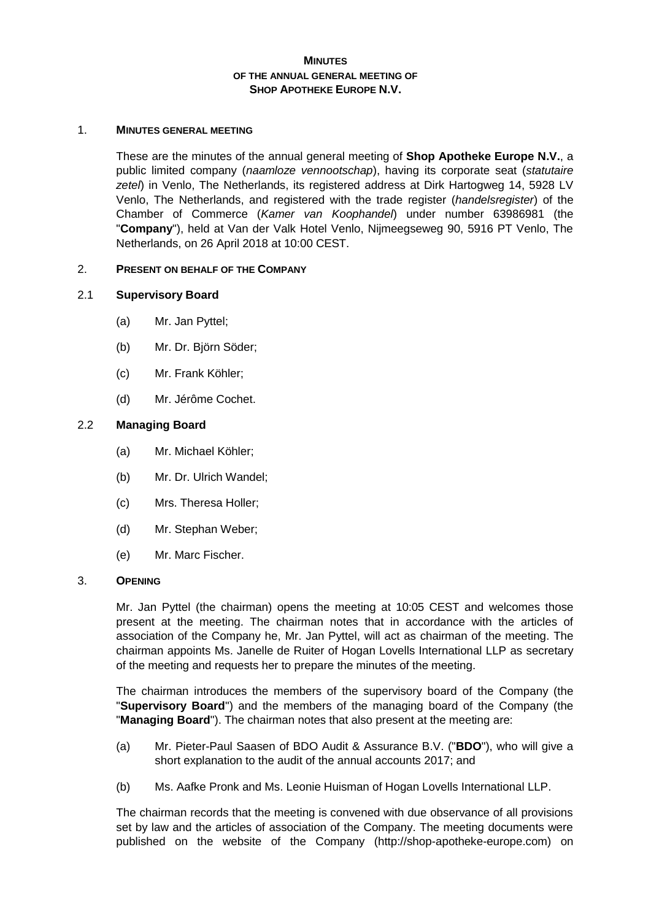# **MINUTES OF THE ANNUAL GENERAL MEETING OF SHOP APOTHEKE EUROPE N.V.**

#### 1. **MINUTES GENERAL MEETING**

These are the minutes of the annual general meeting of **Shop Apotheke Europe N.V.**, a public limited company (*naamloze vennootschap*), having its corporate seat (*statutaire zetel*) in Venlo, The Netherlands, its registered address at Dirk Hartogweg 14, 5928 LV Venlo, The Netherlands, and registered with the trade register (*handelsregister*) of the Chamber of Commerce (*Kamer van Koophandel*) under number 63986981 (the "**Company**"), held at Van der Valk Hotel Venlo, Nijmeegseweg 90, 5916 PT Venlo, The Netherlands, on 26 April 2018 at 10:00 CEST.

## 2. **PRESENT ON BEHALF OF THE COMPANY**

## 2.1 **Supervisory Board**

- (a) Mr. Jan Pyttel;
- (b) Mr. Dr. Björn Söder;
- (c) Mr. Frank Köhler;
- (d) Mr. Jérôme Cochet.

# 2.2 **Managing Board**

- (a) Mr. Michael Köhler;
- (b) Mr. Dr. Ulrich Wandel;
- (c) Mrs. Theresa Holler;
- (d) Mr. Stephan Weber;
- (e) Mr. Marc Fischer.

#### 3. **OPENING**

Mr. Jan Pyttel (the chairman) opens the meeting at 10:05 CEST and welcomes those present at the meeting. The chairman notes that in accordance with the articles of association of the Company he, Mr. Jan Pyttel, will act as chairman of the meeting. The chairman appoints Ms. Janelle de Ruiter of Hogan Lovells International LLP as secretary of the meeting and requests her to prepare the minutes of the meeting.

The chairman introduces the members of the supervisory board of the Company (the "**Supervisory Board**") and the members of the managing board of the Company (the "**Managing Board**"). The chairman notes that also present at the meeting are:

- (a) Mr. Pieter-Paul Saasen of BDO Audit & Assurance B.V. ("**BDO**"), who will give a short explanation to the audit of the annual accounts 2017; and
- (b) Ms. Aafke Pronk and Ms. Leonie Huisman of Hogan Lovells International LLP.

The chairman records that the meeting is convened with due observance of all provisions set by law and the articles of association of the Company. The meeting documents were published on the website of the Company (http://shop-apotheke-europe.com) on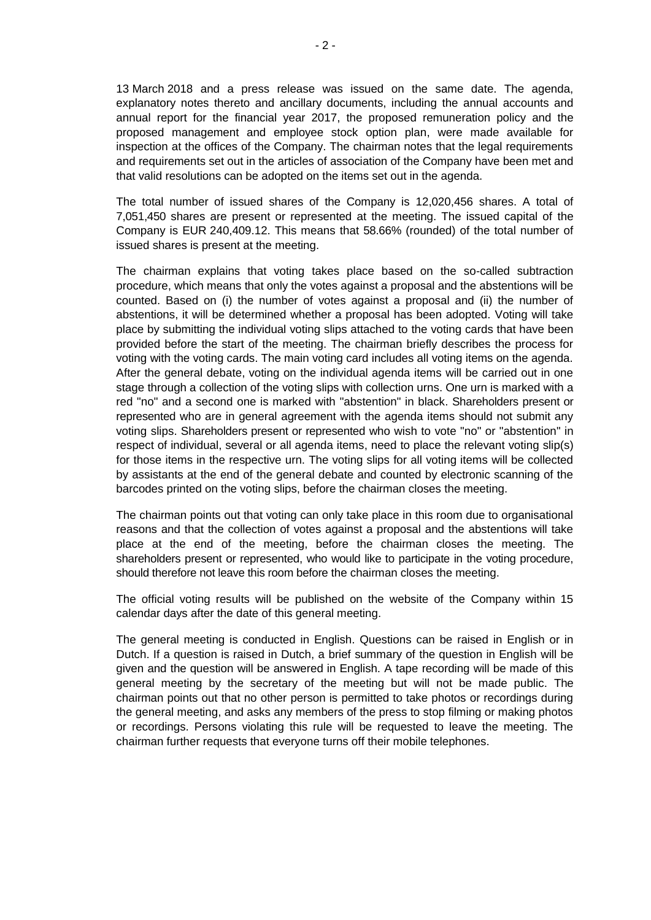13 March 2018 and a press release was issued on the same date. The agenda, explanatory notes thereto and ancillary documents, including the annual accounts and annual report for the financial year 2017, the proposed remuneration policy and the proposed management and employee stock option plan, were made available for inspection at the offices of the Company. The chairman notes that the legal requirements and requirements set out in the articles of association of the Company have been met and that valid resolutions can be adopted on the items set out in the agenda.

The total number of issued shares of the Company is 12,020,456 shares. A total of 7,051,450 shares are present or represented at the meeting. The issued capital of the Company is EUR 240,409.12. This means that 58.66% (rounded) of the total number of issued shares is present at the meeting.

The chairman explains that voting takes place based on the so-called subtraction procedure, which means that only the votes against a proposal and the abstentions will be counted. Based on (i) the number of votes against a proposal and (ii) the number of abstentions, it will be determined whether a proposal has been adopted. Voting will take place by submitting the individual voting slips attached to the voting cards that have been provided before the start of the meeting. The chairman briefly describes the process for voting with the voting cards. The main voting card includes all voting items on the agenda. After the general debate, voting on the individual agenda items will be carried out in one stage through a collection of the voting slips with collection urns. One urn is marked with a red "no" and a second one is marked with "abstention" in black. Shareholders present or represented who are in general agreement with the agenda items should not submit any voting slips. Shareholders present or represented who wish to vote "no" or "abstention" in respect of individual, several or all agenda items, need to place the relevant voting slip(s) for those items in the respective urn. The voting slips for all voting items will be collected by assistants at the end of the general debate and counted by electronic scanning of the barcodes printed on the voting slips, before the chairman closes the meeting.

The chairman points out that voting can only take place in this room due to organisational reasons and that the collection of votes against a proposal and the abstentions will take place at the end of the meeting, before the chairman closes the meeting. The shareholders present or represented, who would like to participate in the voting procedure, should therefore not leave this room before the chairman closes the meeting.

The official voting results will be published on the website of the Company within 15 calendar days after the date of this general meeting.

The general meeting is conducted in English. Questions can be raised in English or in Dutch. If a question is raised in Dutch, a brief summary of the question in English will be given and the question will be answered in English. A tape recording will be made of this general meeting by the secretary of the meeting but will not be made public. The chairman points out that no other person is permitted to take photos or recordings during the general meeting, and asks any members of the press to stop filming or making photos or recordings. Persons violating this rule will be requested to leave the meeting. The chairman further requests that everyone turns off their mobile telephones.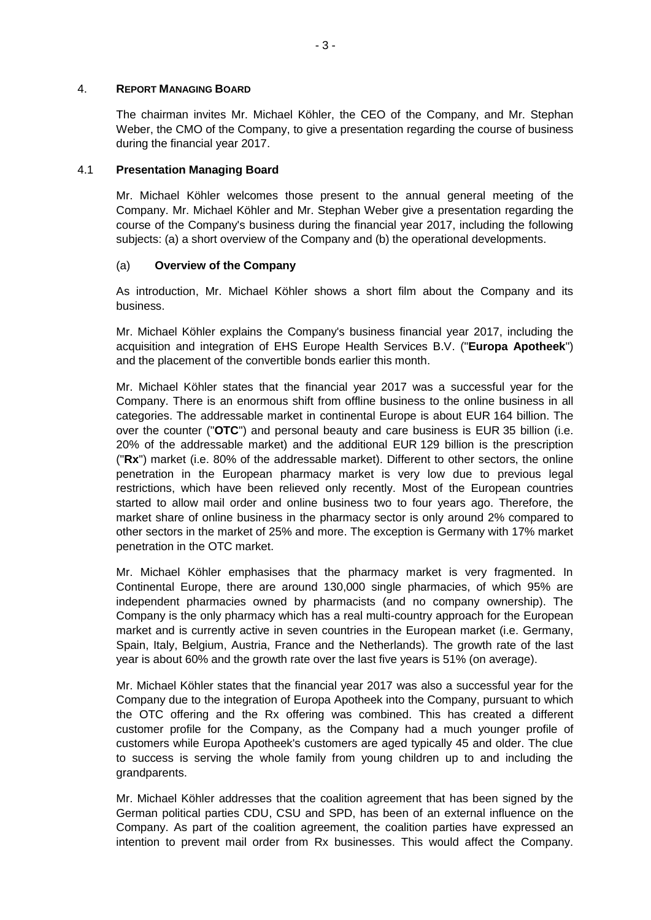## 4. **REPORT MANAGING BOARD**

The chairman invites Mr. Michael Köhler, the CEO of the Company, and Mr. Stephan Weber, the CMO of the Company, to give a presentation regarding the course of business during the financial year 2017.

#### 4.1 **Presentation Managing Board**

Mr. Michael Köhler welcomes those present to the annual general meeting of the Company. Mr. Michael Köhler and Mr. Stephan Weber give a presentation regarding the course of the Company's business during the financial year 2017, including the following subjects: (a) a short overview of the Company and (b) the operational developments.

#### (a) **Overview of the Company**

As introduction, Mr. Michael Köhler shows a short film about the Company and its business.

Mr. Michael Köhler explains the Company's business financial year 2017, including the acquisition and integration of EHS Europe Health Services B.V. ("**Europa Apotheek**") and the placement of the convertible bonds earlier this month.

Mr. Michael Köhler states that the financial year 2017 was a successful year for the Company. There is an enormous shift from offline business to the online business in all categories. The addressable market in continental Europe is about EUR 164 billion. The over the counter ("**OTC**") and personal beauty and care business is EUR 35 billion (i.e. 20% of the addressable market) and the additional EUR 129 billion is the prescription ("**Rx**") market (i.e. 80% of the addressable market). Different to other sectors, the online penetration in the European pharmacy market is very low due to previous legal restrictions, which have been relieved only recently. Most of the European countries started to allow mail order and online business two to four years ago. Therefore, the market share of online business in the pharmacy sector is only around 2% compared to other sectors in the market of 25% and more. The exception is Germany with 17% market penetration in the OTC market.

Mr. Michael Köhler emphasises that the pharmacy market is very fragmented. In Continental Europe, there are around 130,000 single pharmacies, of which 95% are independent pharmacies owned by pharmacists (and no company ownership). The Company is the only pharmacy which has a real multi-country approach for the European market and is currently active in seven countries in the European market (i.e. Germany, Spain, Italy, Belgium, Austria, France and the Netherlands). The growth rate of the last year is about 60% and the growth rate over the last five years is 51% (on average).

Mr. Michael Köhler states that the financial year 2017 was also a successful year for the Company due to the integration of Europa Apotheek into the Company, pursuant to which the OTC offering and the Rx offering was combined. This has created a different customer profile for the Company, as the Company had a much younger profile of customers while Europa Apotheek's customers are aged typically 45 and older. The clue to success is serving the whole family from young children up to and including the grandparents.

Mr. Michael Köhler addresses that the coalition agreement that has been signed by the German political parties CDU, CSU and SPD, has been of an external influence on the Company. As part of the coalition agreement, the coalition parties have expressed an intention to prevent mail order from Rx businesses. This would affect the Company.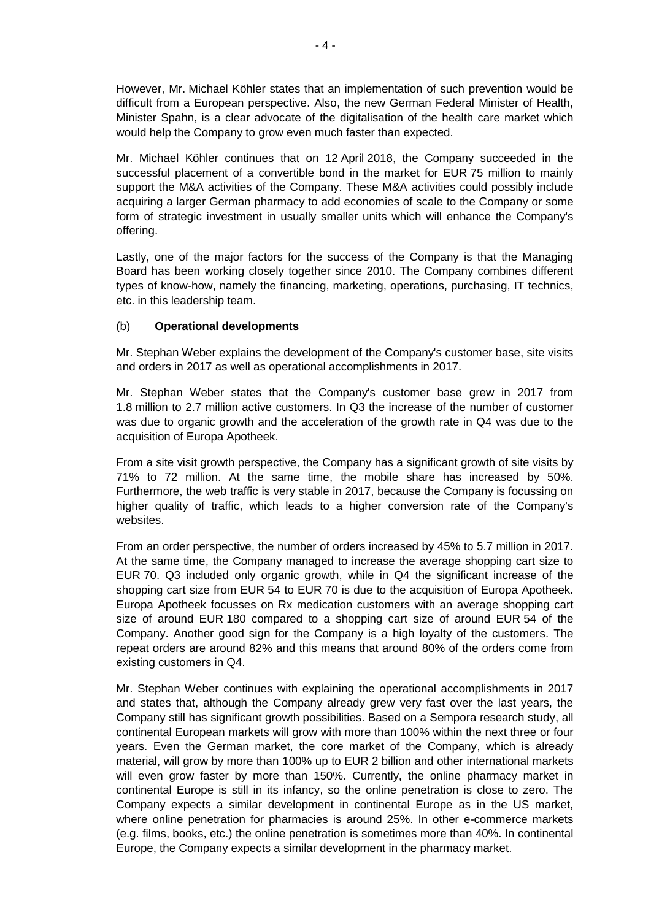However, Mr. Michael Köhler states that an implementation of such prevention would be difficult from a European perspective. Also, the new German Federal Minister of Health, Minister Spahn, is a clear advocate of the digitalisation of the health care market which would help the Company to grow even much faster than expected.

Mr. Michael Köhler continues that on 12 April 2018, the Company succeeded in the successful placement of a convertible bond in the market for EUR 75 million to mainly support the M&A activities of the Company. These M&A activities could possibly include acquiring a larger German pharmacy to add economies of scale to the Company or some form of strategic investment in usually smaller units which will enhance the Company's offering.

Lastly, one of the major factors for the success of the Company is that the Managing Board has been working closely together since 2010. The Company combines different types of know-how, namely the financing, marketing, operations, purchasing, IT technics, etc. in this leadership team.

# (b) **Operational developments**

Mr. Stephan Weber explains the development of the Company's customer base, site visits and orders in 2017 as well as operational accomplishments in 2017.

Mr. Stephan Weber states that the Company's customer base grew in 2017 from 1.8 million to 2.7 million active customers. In Q3 the increase of the number of customer was due to organic growth and the acceleration of the growth rate in Q4 was due to the acquisition of Europa Apotheek.

From a site visit growth perspective, the Company has a significant growth of site visits by 71% to 72 million. At the same time, the mobile share has increased by 50%. Furthermore, the web traffic is very stable in 2017, because the Company is focussing on higher quality of traffic, which leads to a higher conversion rate of the Company's websites.

From an order perspective, the number of orders increased by 45% to 5.7 million in 2017. At the same time, the Company managed to increase the average shopping cart size to EUR 70. Q3 included only organic growth, while in Q4 the significant increase of the shopping cart size from EUR 54 to EUR 70 is due to the acquisition of Europa Apotheek. Europa Apotheek focusses on Rx medication customers with an average shopping cart size of around EUR 180 compared to a shopping cart size of around EUR 54 of the Company. Another good sign for the Company is a high loyalty of the customers. The repeat orders are around 82% and this means that around 80% of the orders come from existing customers in Q4.

Mr. Stephan Weber continues with explaining the operational accomplishments in 2017 and states that, although the Company already grew very fast over the last years, the Company still has significant growth possibilities. Based on a Sempora research study, all continental European markets will grow with more than 100% within the next three or four years. Even the German market, the core market of the Company, which is already material, will grow by more than 100% up to EUR 2 billion and other international markets will even grow faster by more than 150%. Currently, the online pharmacy market in continental Europe is still in its infancy, so the online penetration is close to zero. The Company expects a similar development in continental Europe as in the US market, where online penetration for pharmacies is around 25%. In other e-commerce markets (e.g. films, books, etc.) the online penetration is sometimes more than 40%. In continental Europe, the Company expects a similar development in the pharmacy market.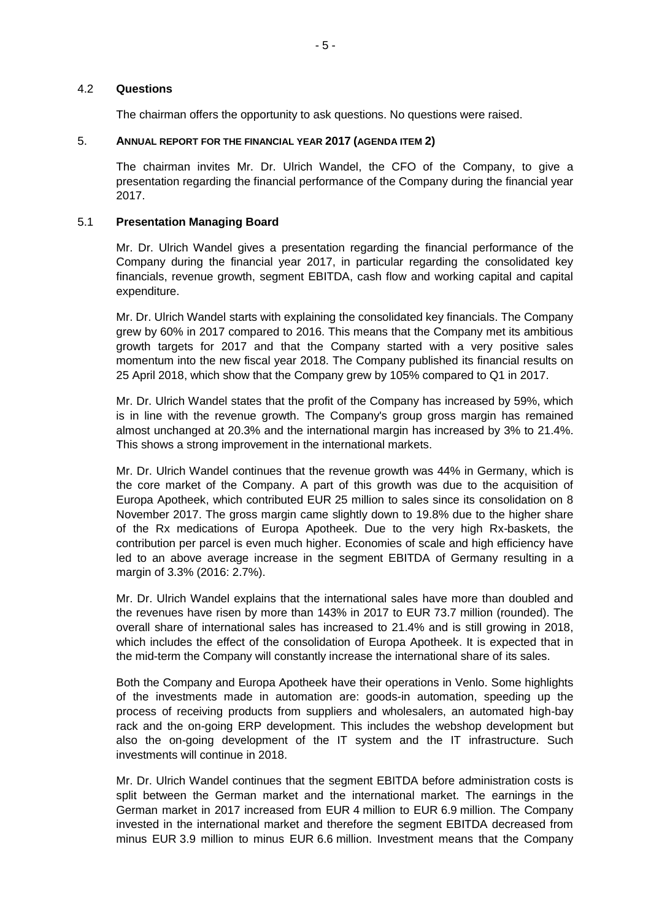#### 4.2 **Questions**

The chairman offers the opportunity to ask questions. No questions were raised.

# 5. **ANNUAL REPORT FOR THE FINANCIAL YEAR 2017 (AGENDA ITEM 2)**

The chairman invites Mr. Dr. Ulrich Wandel, the CFO of the Company, to give a presentation regarding the financial performance of the Company during the financial year 2017.

#### 5.1 **Presentation Managing Board**

Mr. Dr. Ulrich Wandel gives a presentation regarding the financial performance of the Company during the financial year 2017, in particular regarding the consolidated key financials, revenue growth, segment EBITDA, cash flow and working capital and capital expenditure.

Mr. Dr. Ulrich Wandel starts with explaining the consolidated key financials. The Company grew by 60% in 2017 compared to 2016. This means that the Company met its ambitious growth targets for 2017 and that the Company started with a very positive sales momentum into the new fiscal year 2018. The Company published its financial results on 25 April 2018, which show that the Company grew by 105% compared to Q1 in 2017.

Mr. Dr. Ulrich Wandel states that the profit of the Company has increased by 59%, which is in line with the revenue growth. The Company's group gross margin has remained almost unchanged at 20.3% and the international margin has increased by 3% to 21.4%. This shows a strong improvement in the international markets.

Mr. Dr. Ulrich Wandel continues that the revenue growth was 44% in Germany, which is the core market of the Company. A part of this growth was due to the acquisition of Europa Apotheek, which contributed EUR 25 million to sales since its consolidation on 8 November 2017. The gross margin came slightly down to 19.8% due to the higher share of the Rx medications of Europa Apotheek. Due to the very high Rx-baskets, the contribution per parcel is even much higher. Economies of scale and high efficiency have led to an above average increase in the segment EBITDA of Germany resulting in a margin of 3.3% (2016: 2.7%).

Mr. Dr. Ulrich Wandel explains that the international sales have more than doubled and the revenues have risen by more than 143% in 2017 to EUR 73.7 million (rounded). The overall share of international sales has increased to 21.4% and is still growing in 2018, which includes the effect of the consolidation of Europa Apotheek. It is expected that in the mid-term the Company will constantly increase the international share of its sales.

Both the Company and Europa Apotheek have their operations in Venlo. Some highlights of the investments made in automation are: goods-in automation, speeding up the process of receiving products from suppliers and wholesalers, an automated high-bay rack and the on-going ERP development. This includes the webshop development but also the on-going development of the IT system and the IT infrastructure. Such investments will continue in 2018.

Mr. Dr. Ulrich Wandel continues that the segment EBITDA before administration costs is split between the German market and the international market. The earnings in the German market in 2017 increased from EUR 4 million to EUR 6.9 million. The Company invested in the international market and therefore the segment EBITDA decreased from minus EUR 3.9 million to minus EUR 6.6 million. Investment means that the Company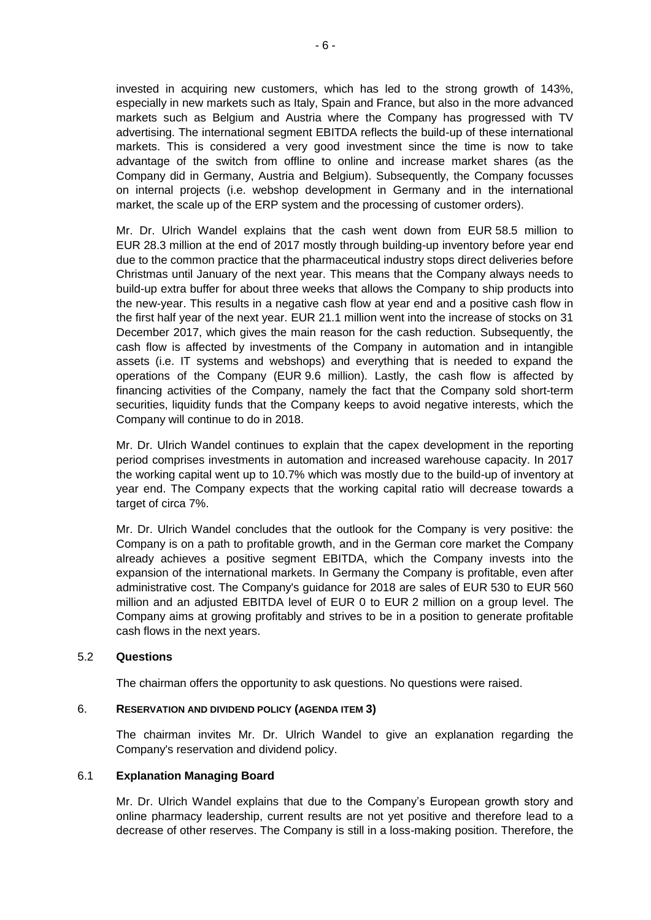invested in acquiring new customers, which has led to the strong growth of 143%, especially in new markets such as Italy, Spain and France, but also in the more advanced markets such as Belgium and Austria where the Company has progressed with TV advertising. The international segment EBITDA reflects the build-up of these international markets. This is considered a very good investment since the time is now to take advantage of the switch from offline to online and increase market shares (as the Company did in Germany, Austria and Belgium). Subsequently, the Company focusses on internal projects (i.e. webshop development in Germany and in the international market, the scale up of the ERP system and the processing of customer orders).

Mr. Dr. Ulrich Wandel explains that the cash went down from EUR 58.5 million to EUR 28.3 million at the end of 2017 mostly through building-up inventory before year end due to the common practice that the pharmaceutical industry stops direct deliveries before Christmas until January of the next year. This means that the Company always needs to build-up extra buffer for about three weeks that allows the Company to ship products into the new-year. This results in a negative cash flow at year end and a positive cash flow in the first half year of the next year. EUR 21.1 million went into the increase of stocks on 31 December 2017, which gives the main reason for the cash reduction. Subsequently, the cash flow is affected by investments of the Company in automation and in intangible assets (i.e. IT systems and webshops) and everything that is needed to expand the operations of the Company (EUR 9.6 million). Lastly, the cash flow is affected by financing activities of the Company, namely the fact that the Company sold short-term securities, liquidity funds that the Company keeps to avoid negative interests, which the Company will continue to do in 2018.

Mr. Dr. Ulrich Wandel continues to explain that the capex development in the reporting period comprises investments in automation and increased warehouse capacity. In 2017 the working capital went up to 10.7% which was mostly due to the build-up of inventory at year end. The Company expects that the working capital ratio will decrease towards a target of circa 7%.

Mr. Dr. Ulrich Wandel concludes that the outlook for the Company is very positive: the Company is on a path to profitable growth, and in the German core market the Company already achieves a positive segment EBITDA, which the Company invests into the expansion of the international markets. In Germany the Company is profitable, even after administrative cost. The Company's guidance for 2018 are sales of EUR 530 to EUR 560 million and an adjusted EBITDA level of EUR 0 to EUR 2 million on a group level. The Company aims at growing profitably and strives to be in a position to generate profitable cash flows in the next years.

## 5.2 **Questions**

The chairman offers the opportunity to ask questions. No questions were raised.

#### 6. **RESERVATION AND DIVIDEND POLICY (AGENDA ITEM 3)**

The chairman invites Mr. Dr. Ulrich Wandel to give an explanation regarding the Company's reservation and dividend policy.

#### 6.1 **Explanation Managing Board**

Mr. Dr. Ulrich Wandel explains that due to the Company's European growth story and online pharmacy leadership, current results are not yet positive and therefore lead to a decrease of other reserves. The Company is still in a loss-making position. Therefore, the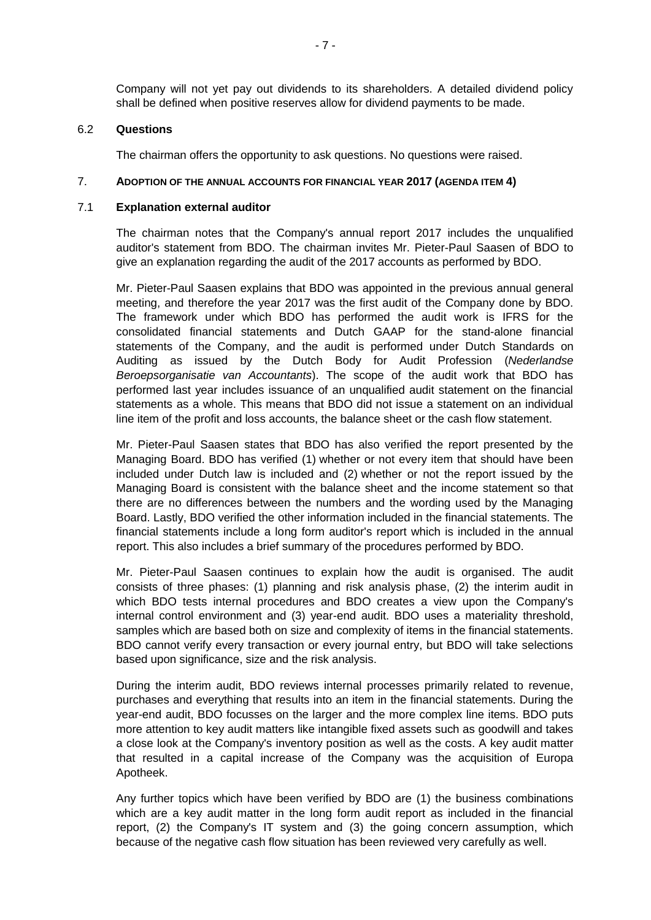Company will not yet pay out dividends to its shareholders. A detailed dividend policy shall be defined when positive reserves allow for dividend payments to be made.

#### 6.2 **Questions**

The chairman offers the opportunity to ask questions. No questions were raised.

#### 7. **ADOPTION OF THE ANNUAL ACCOUNTS FOR FINANCIAL YEAR 2017 (AGENDA ITEM 4)**

#### 7.1 **Explanation external auditor**

The chairman notes that the Company's annual report 2017 includes the unqualified auditor's statement from BDO. The chairman invites Mr. Pieter-Paul Saasen of BDO to give an explanation regarding the audit of the 2017 accounts as performed by BDO.

Mr. Pieter-Paul Saasen explains that BDO was appointed in the previous annual general meeting, and therefore the year 2017 was the first audit of the Company done by BDO. The framework under which BDO has performed the audit work is IFRS for the consolidated financial statements and Dutch GAAP for the stand-alone financial statements of the Company, and the audit is performed under Dutch Standards on Auditing as issued by the Dutch Body for Audit Profession (*Nederlandse Beroepsorganisatie van Accountants*). The scope of the audit work that BDO has performed last year includes issuance of an unqualified audit statement on the financial statements as a whole. This means that BDO did not issue a statement on an individual line item of the profit and loss accounts, the balance sheet or the cash flow statement.

Mr. Pieter-Paul Saasen states that BDO has also verified the report presented by the Managing Board. BDO has verified (1) whether or not every item that should have been included under Dutch law is included and (2) whether or not the report issued by the Managing Board is consistent with the balance sheet and the income statement so that there are no differences between the numbers and the wording used by the Managing Board. Lastly, BDO verified the other information included in the financial statements. The financial statements include a long form auditor's report which is included in the annual report. This also includes a brief summary of the procedures performed by BDO.

Mr. Pieter-Paul Saasen continues to explain how the audit is organised. The audit consists of three phases: (1) planning and risk analysis phase, (2) the interim audit in which BDO tests internal procedures and BDO creates a view upon the Company's internal control environment and (3) year-end audit. BDO uses a materiality threshold, samples which are based both on size and complexity of items in the financial statements. BDO cannot verify every transaction or every journal entry, but BDO will take selections based upon significance, size and the risk analysis.

During the interim audit, BDO reviews internal processes primarily related to revenue, purchases and everything that results into an item in the financial statements. During the year-end audit, BDO focusses on the larger and the more complex line items. BDO puts more attention to key audit matters like intangible fixed assets such as goodwill and takes a close look at the Company's inventory position as well as the costs. A key audit matter that resulted in a capital increase of the Company was the acquisition of Europa Apotheek.

Any further topics which have been verified by BDO are (1) the business combinations which are a key audit matter in the long form audit report as included in the financial report, (2) the Company's IT system and (3) the going concern assumption, which because of the negative cash flow situation has been reviewed very carefully as well.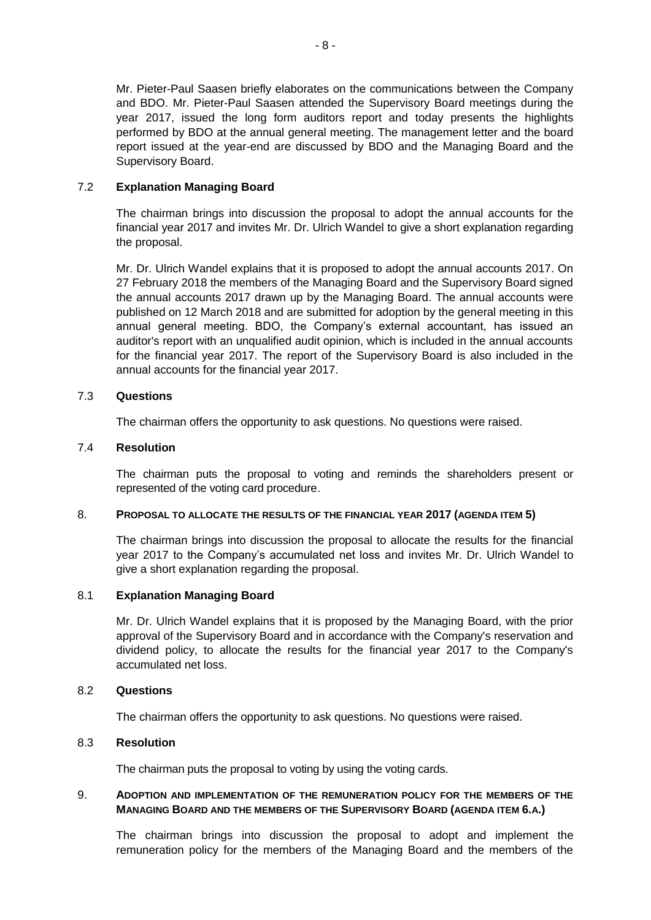Mr. Pieter-Paul Saasen briefly elaborates on the communications between the Company and BDO. Mr. Pieter-Paul Saasen attended the Supervisory Board meetings during the year 2017, issued the long form auditors report and today presents the highlights performed by BDO at the annual general meeting. The management letter and the board report issued at the year-end are discussed by BDO and the Managing Board and the Supervisory Board.

# 7.2 **Explanation Managing Board**

The chairman brings into discussion the proposal to adopt the annual accounts for the financial year 2017 and invites Mr. Dr. Ulrich Wandel to give a short explanation regarding the proposal.

Mr. Dr. Ulrich Wandel explains that it is proposed to adopt the annual accounts 2017. On 27 February 2018 the members of the Managing Board and the Supervisory Board signed the annual accounts 2017 drawn up by the Managing Board. The annual accounts were published on 12 March 2018 and are submitted for adoption by the general meeting in this annual general meeting. BDO, the Company's external accountant, has issued an auditor's report with an unqualified audit opinion, which is included in the annual accounts for the financial year 2017. The report of the Supervisory Board is also included in the annual accounts for the financial year 2017.

# 7.3 **Questions**

The chairman offers the opportunity to ask questions. No questions were raised.

# 7.4 **Resolution**

The chairman puts the proposal to voting and reminds the shareholders present or represented of the voting card procedure.

## 8. **PROPOSAL TO ALLOCATE THE RESULTS OF THE FINANCIAL YEAR 2017 (AGENDA ITEM 5)**

The chairman brings into discussion the proposal to allocate the results for the financial year 2017 to the Company's accumulated net loss and invites Mr. Dr. Ulrich Wandel to give a short explanation regarding the proposal.

## 8.1 **Explanation Managing Board**

Mr. Dr. Ulrich Wandel explains that it is proposed by the Managing Board, with the prior approval of the Supervisory Board and in accordance with the Company's reservation and dividend policy, to allocate the results for the financial year 2017 to the Company's accumulated net loss.

## 8.2 **Questions**

The chairman offers the opportunity to ask questions. No questions were raised.

## 8.3 **Resolution**

The chairman puts the proposal to voting by using the voting cards.

# 9. **ADOPTION AND IMPLEMENTATION OF THE REMUNERATION POLICY FOR THE MEMBERS OF THE MANAGING BOARD AND THE MEMBERS OF THE SUPERVISORY BOARD (AGENDA ITEM 6.A.)**

The chairman brings into discussion the proposal to adopt and implement the remuneration policy for the members of the Managing Board and the members of the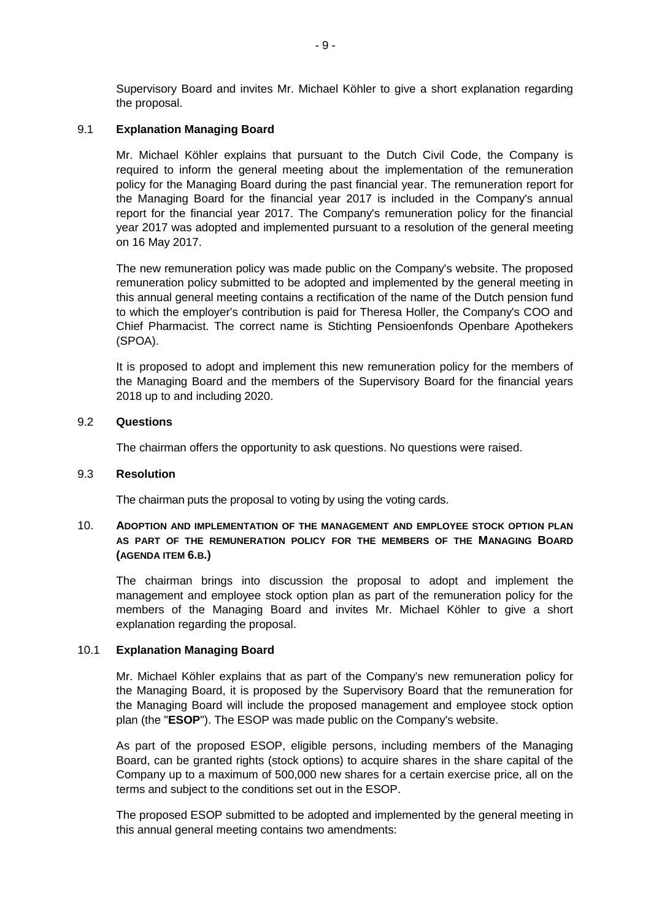Supervisory Board and invites Mr. Michael Köhler to give a short explanation regarding the proposal.

## 9.1 **Explanation Managing Board**

Mr. Michael Köhler explains that pursuant to the Dutch Civil Code, the Company is required to inform the general meeting about the implementation of the remuneration policy for the Managing Board during the past financial year. The remuneration report for the Managing Board for the financial year 2017 is included in the Company's annual report for the financial year 2017. The Company's remuneration policy for the financial year 2017 was adopted and implemented pursuant to a resolution of the general meeting on 16 May 2017.

The new remuneration policy was made public on the Company's website. The proposed remuneration policy submitted to be adopted and implemented by the general meeting in this annual general meeting contains a rectification of the name of the Dutch pension fund to which the employer's contribution is paid for Theresa Holler, the Company's COO and Chief Pharmacist. The correct name is Stichting Pensioenfonds Openbare Apothekers (SPOA).

It is proposed to adopt and implement this new remuneration policy for the members of the Managing Board and the members of the Supervisory Board for the financial years 2018 up to and including 2020.

## 9.2 **Questions**

The chairman offers the opportunity to ask questions. No questions were raised.

## 9.3 **Resolution**

The chairman puts the proposal to voting by using the voting cards.

# 10. **ADOPTION AND IMPLEMENTATION OF THE MANAGEMENT AND EMPLOYEE STOCK OPTION PLAN AS PART OF THE REMUNERATION POLICY FOR THE MEMBERS OF THE MANAGING BOARD (AGENDA ITEM 6.B.)**

The chairman brings into discussion the proposal to adopt and implement the management and employee stock option plan as part of the remuneration policy for the members of the Managing Board and invites Mr. Michael Köhler to give a short explanation regarding the proposal.

# 10.1 **Explanation Managing Board**

Mr. Michael Köhler explains that as part of the Company's new remuneration policy for the Managing Board, it is proposed by the Supervisory Board that the remuneration for the Managing Board will include the proposed management and employee stock option plan (the "**ESOP**"). The ESOP was made public on the Company's website.

As part of the proposed ESOP, eligible persons, including members of the Managing Board, can be granted rights (stock options) to acquire shares in the share capital of the Company up to a maximum of 500,000 new shares for a certain exercise price, all on the terms and subject to the conditions set out in the ESOP.

The proposed ESOP submitted to be adopted and implemented by the general meeting in this annual general meeting contains two amendments: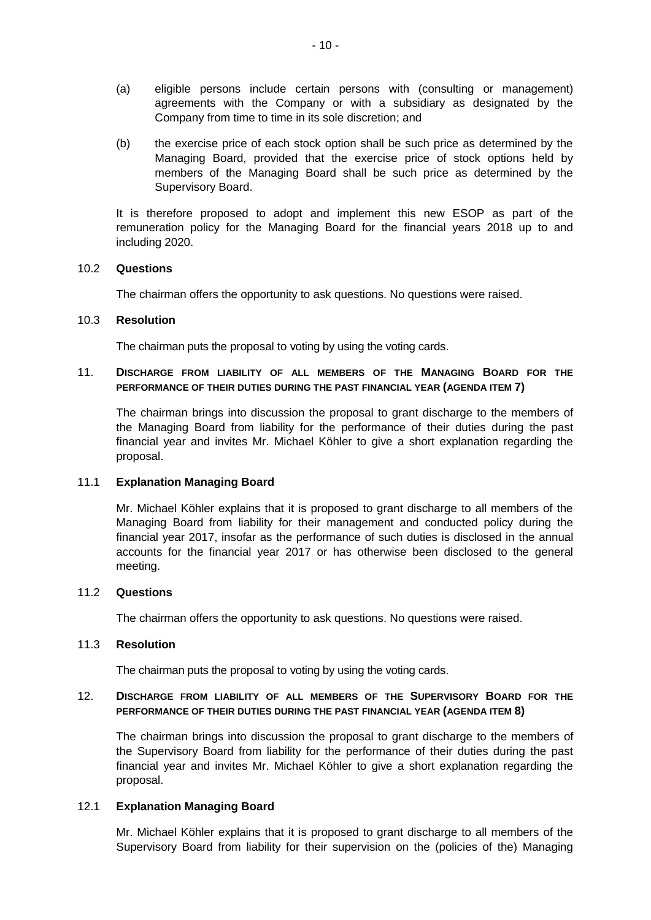- (a) eligible persons include certain persons with (consulting or management) agreements with the Company or with a subsidiary as designated by the Company from time to time in its sole discretion; and
- (b) the exercise price of each stock option shall be such price as determined by the Managing Board, provided that the exercise price of stock options held by members of the Managing Board shall be such price as determined by the Supervisory Board.

It is therefore proposed to adopt and implement this new ESOP as part of the remuneration policy for the Managing Board for the financial years 2018 up to and including 2020.

#### 10.2 **Questions**

The chairman offers the opportunity to ask questions. No questions were raised.

#### 10.3 **Resolution**

The chairman puts the proposal to voting by using the voting cards.

# 11. **DISCHARGE FROM LIABILITY OF ALL MEMBERS OF THE MANAGING BOARD FOR THE PERFORMANCE OF THEIR DUTIES DURING THE PAST FINANCIAL YEAR (AGENDA ITEM 7)**

The chairman brings into discussion the proposal to grant discharge to the members of the Managing Board from liability for the performance of their duties during the past financial year and invites Mr. Michael Köhler to give a short explanation regarding the proposal.

## 11.1 **Explanation Managing Board**

Mr. Michael Köhler explains that it is proposed to grant discharge to all members of the Managing Board from liability for their management and conducted policy during the financial year 2017, insofar as the performance of such duties is disclosed in the annual accounts for the financial year 2017 or has otherwise been disclosed to the general meeting.

#### 11.2 **Questions**

The chairman offers the opportunity to ask questions. No questions were raised.

#### 11.3 **Resolution**

The chairman puts the proposal to voting by using the voting cards.

## 12. **DISCHARGE FROM LIABILITY OF ALL MEMBERS OF THE SUPERVISORY BOARD FOR THE PERFORMANCE OF THEIR DUTIES DURING THE PAST FINANCIAL YEAR (AGENDA ITEM 8)**

The chairman brings into discussion the proposal to grant discharge to the members of the Supervisory Board from liability for the performance of their duties during the past financial year and invites Mr. Michael Köhler to give a short explanation regarding the proposal.

## 12.1 **Explanation Managing Board**

Mr. Michael Köhler explains that it is proposed to grant discharge to all members of the Supervisory Board from liability for their supervision on the (policies of the) Managing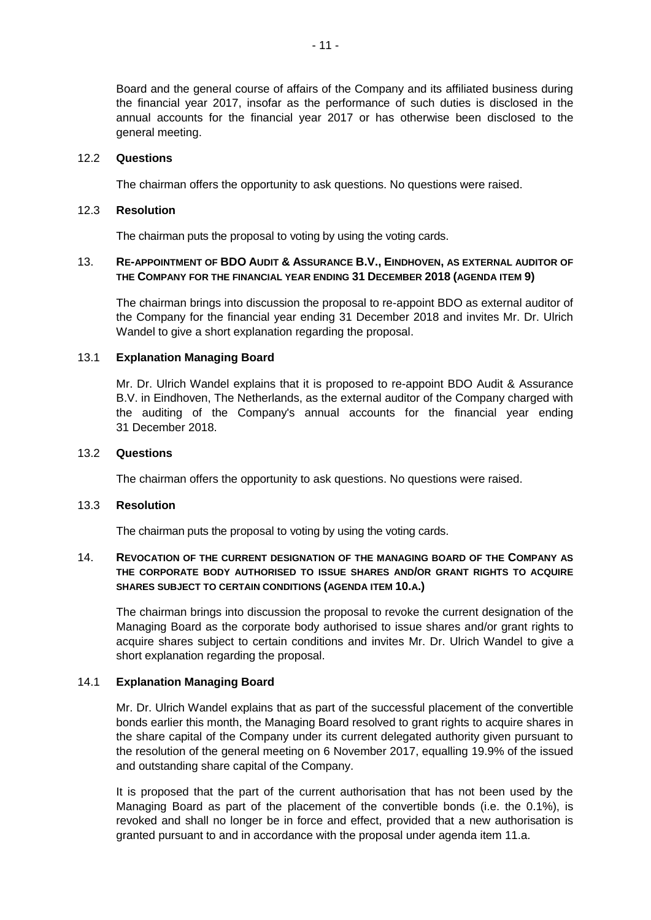Board and the general course of affairs of the Company and its affiliated business during the financial year 2017, insofar as the performance of such duties is disclosed in the annual accounts for the financial year 2017 or has otherwise been disclosed to the general meeting.

## 12.2 **Questions**

The chairman offers the opportunity to ask questions. No questions were raised.

# 12.3 **Resolution**

The chairman puts the proposal to voting by using the voting cards.

# 13. **RE-APPOINTMENT OF BDO AUDIT & ASSURANCE B.V., EINDHOVEN, AS EXTERNAL AUDITOR OF THE COMPANY FOR THE FINANCIAL YEAR ENDING 31 DECEMBER 2018 (AGENDA ITEM 9)**

The chairman brings into discussion the proposal to re-appoint BDO as external auditor of the Company for the financial year ending 31 December 2018 and invites Mr. Dr. Ulrich Wandel to give a short explanation regarding the proposal.

# 13.1 **Explanation Managing Board**

Mr. Dr. Ulrich Wandel explains that it is proposed to re-appoint BDO Audit & Assurance B.V. in Eindhoven, The Netherlands, as the external auditor of the Company charged with the auditing of the Company's annual accounts for the financial year ending 31 December 2018.

## 13.2 **Questions**

The chairman offers the opportunity to ask questions. No questions were raised.

## 13.3 **Resolution**

The chairman puts the proposal to voting by using the voting cards.

# 14. **REVOCATION OF THE CURRENT DESIGNATION OF THE MANAGING BOARD OF THE COMPANY AS THE CORPORATE BODY AUTHORISED TO ISSUE SHARES AND/OR GRANT RIGHTS TO ACQUIRE SHARES SUBJECT TO CERTAIN CONDITIONS (AGENDA ITEM 10.A.)**

The chairman brings into discussion the proposal to revoke the current designation of the Managing Board as the corporate body authorised to issue shares and/or grant rights to acquire shares subject to certain conditions and invites Mr. Dr. Ulrich Wandel to give a short explanation regarding the proposal.

# 14.1 **Explanation Managing Board**

Mr. Dr. Ulrich Wandel explains that as part of the successful placement of the convertible bonds earlier this month, the Managing Board resolved to grant rights to acquire shares in the share capital of the Company under its current delegated authority given pursuant to the resolution of the general meeting on 6 November 2017, equalling 19.9% of the issued and outstanding share capital of the Company.

It is proposed that the part of the current authorisation that has not been used by the Managing Board as part of the placement of the convertible bonds (i.e. the 0.1%), is revoked and shall no longer be in force and effect, provided that a new authorisation is granted pursuant to and in accordance with the proposal under agenda item 11.a.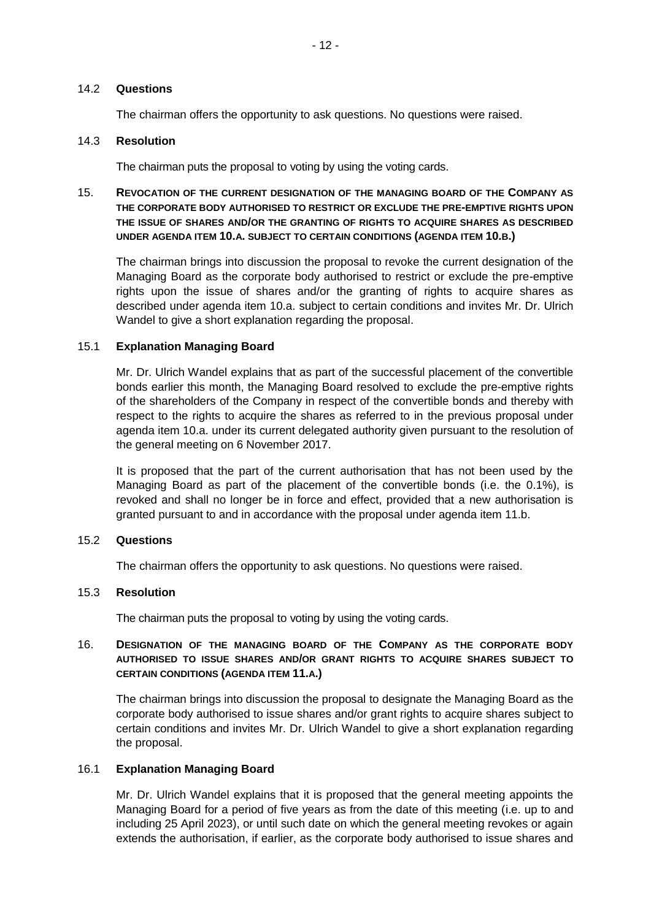## 14.2 **Questions**

The chairman offers the opportunity to ask questions. No questions were raised.

# 14.3 **Resolution**

The chairman puts the proposal to voting by using the voting cards.

# 15. **REVOCATION OF THE CURRENT DESIGNATION OF THE MANAGING BOARD OF THE COMPANY AS THE CORPORATE BODY AUTHORISED TO RESTRICT OR EXCLUDE THE PRE-EMPTIVE RIGHTS UPON THE ISSUE OF SHARES AND/OR THE GRANTING OF RIGHTS TO ACQUIRE SHARES AS DESCRIBED UNDER AGENDA ITEM 10.A. SUBJECT TO CERTAIN CONDITIONS (AGENDA ITEM 10.B.)**

The chairman brings into discussion the proposal to revoke the current designation of the Managing Board as the corporate body authorised to restrict or exclude the pre-emptive rights upon the issue of shares and/or the granting of rights to acquire shares as described under agenda item 10.a. subject to certain conditions and invites Mr. Dr. Ulrich Wandel to give a short explanation regarding the proposal.

#### 15.1 **Explanation Managing Board**

Mr. Dr. Ulrich Wandel explains that as part of the successful placement of the convertible bonds earlier this month, the Managing Board resolved to exclude the pre-emptive rights of the shareholders of the Company in respect of the convertible bonds and thereby with respect to the rights to acquire the shares as referred to in the previous proposal under agenda item 10.a. under its current delegated authority given pursuant to the resolution of the general meeting on 6 November 2017.

It is proposed that the part of the current authorisation that has not been used by the Managing Board as part of the placement of the convertible bonds (i.e. the 0.1%), is revoked and shall no longer be in force and effect, provided that a new authorisation is granted pursuant to and in accordance with the proposal under agenda item 11.b.

## 15.2 **Questions**

The chairman offers the opportunity to ask questions. No questions were raised.

## 15.3 **Resolution**

The chairman puts the proposal to voting by using the voting cards.

# 16. **DESIGNATION OF THE MANAGING BOARD OF THE COMPANY AS THE CORPORATE BODY AUTHORISED TO ISSUE SHARES AND/OR GRANT RIGHTS TO ACQUIRE SHARES SUBJECT TO CERTAIN CONDITIONS (AGENDA ITEM 11.A.)**

The chairman brings into discussion the proposal to designate the Managing Board as the corporate body authorised to issue shares and/or grant rights to acquire shares subject to certain conditions and invites Mr. Dr. Ulrich Wandel to give a short explanation regarding the proposal.

## 16.1 **Explanation Managing Board**

Mr. Dr. Ulrich Wandel explains that it is proposed that the general meeting appoints the Managing Board for a period of five years as from the date of this meeting (i.e. up to and including 25 April 2023), or until such date on which the general meeting revokes or again extends the authorisation, if earlier, as the corporate body authorised to issue shares and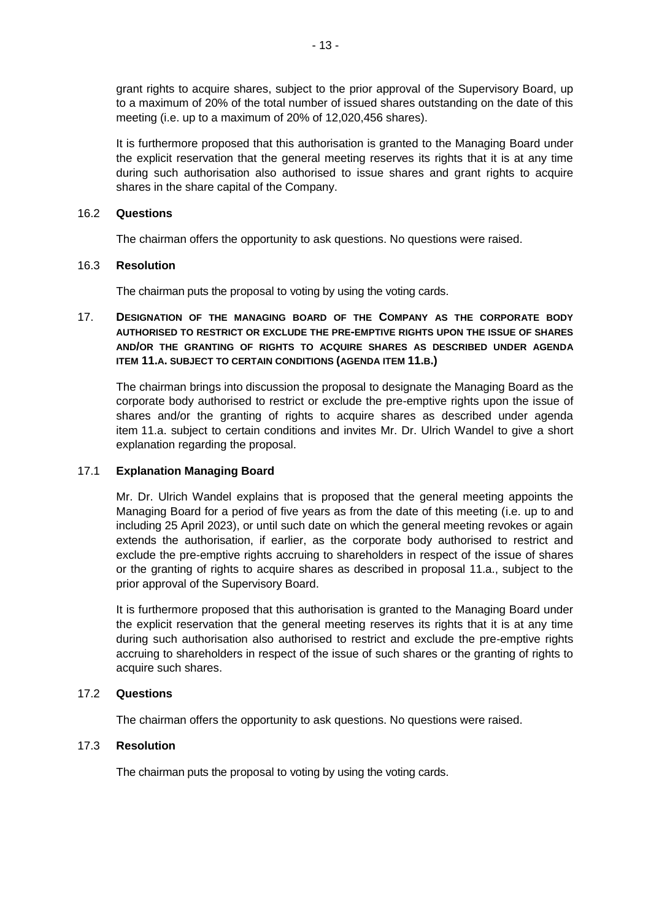grant rights to acquire shares, subject to the prior approval of the Supervisory Board, up to a maximum of 20% of the total number of issued shares outstanding on the date of this meeting (i.e. up to a maximum of 20% of 12,020,456 shares).

It is furthermore proposed that this authorisation is granted to the Managing Board under the explicit reservation that the general meeting reserves its rights that it is at any time during such authorisation also authorised to issue shares and grant rights to acquire shares in the share capital of the Company.

# 16.2 **Questions**

The chairman offers the opportunity to ask questions. No questions were raised.

# 16.3 **Resolution**

The chairman puts the proposal to voting by using the voting cards.

# 17. **DESIGNATION OF THE MANAGING BOARD OF THE COMPANY AS THE CORPORATE BODY AUTHORISED TO RESTRICT OR EXCLUDE THE PRE-EMPTIVE RIGHTS UPON THE ISSUE OF SHARES AND/OR THE GRANTING OF RIGHTS TO ACQUIRE SHARES AS DESCRIBED UNDER AGENDA ITEM 11.A. SUBJECT TO CERTAIN CONDITIONS (AGENDA ITEM 11.B.)**

The chairman brings into discussion the proposal to designate the Managing Board as the corporate body authorised to restrict or exclude the pre-emptive rights upon the issue of shares and/or the granting of rights to acquire shares as described under agenda item 11.a. subject to certain conditions and invites Mr. Dr. Ulrich Wandel to give a short explanation regarding the proposal.

# 17.1 **Explanation Managing Board**

Mr. Dr. Ulrich Wandel explains that is proposed that the general meeting appoints the Managing Board for a period of five years as from the date of this meeting (i.e. up to and including 25 April 2023), or until such date on which the general meeting revokes or again extends the authorisation, if earlier, as the corporate body authorised to restrict and exclude the pre-emptive rights accruing to shareholders in respect of the issue of shares or the granting of rights to acquire shares as described in proposal 11.a., subject to the prior approval of the Supervisory Board.

It is furthermore proposed that this authorisation is granted to the Managing Board under the explicit reservation that the general meeting reserves its rights that it is at any time during such authorisation also authorised to restrict and exclude the pre-emptive rights accruing to shareholders in respect of the issue of such shares or the granting of rights to acquire such shares.

# 17.2 **Questions**

The chairman offers the opportunity to ask questions. No questions were raised.

# 17.3 **Resolution**

The chairman puts the proposal to voting by using the voting cards.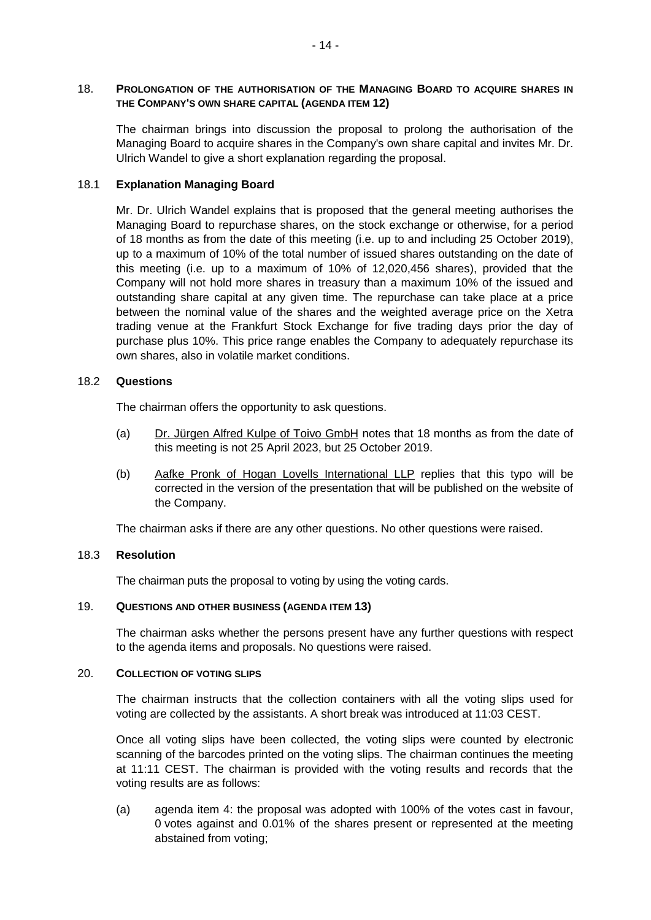## 18. **PROLONGATION OF THE AUTHORISATION OF THE MANAGING BOARD TO ACQUIRE SHARES IN THE COMPANY'S OWN SHARE CAPITAL (AGENDA ITEM 12)**

The chairman brings into discussion the proposal to prolong the authorisation of the Managing Board to acquire shares in the Company's own share capital and invites Mr. Dr. Ulrich Wandel to give a short explanation regarding the proposal.

## 18.1 **Explanation Managing Board**

Mr. Dr. Ulrich Wandel explains that is proposed that the general meeting authorises the Managing Board to repurchase shares, on the stock exchange or otherwise, for a period of 18 months as from the date of this meeting (i.e. up to and including 25 October 2019), up to a maximum of 10% of the total number of issued shares outstanding on the date of this meeting (i.e. up to a maximum of 10% of 12,020,456 shares), provided that the Company will not hold more shares in treasury than a maximum 10% of the issued and outstanding share capital at any given time. The repurchase can take place at a price between the nominal value of the shares and the weighted average price on the Xetra trading venue at the Frankfurt Stock Exchange for five trading days prior the day of purchase plus 10%. This price range enables the Company to adequately repurchase its own shares, also in volatile market conditions.

## 18.2 **Questions**

The chairman offers the opportunity to ask questions.

- (a)  $Dr. Jürgen Alfred Kulpe of Toivo GmbH notes that 18 months as from the date of$ this meeting is not 25 April 2023, but 25 October 2019.
- (b) Aafke Pronk of Hogan Lovells International LLP replies that this typo will be corrected in the version of the presentation that will be published on the website of the Company.

The chairman asks if there are any other questions. No other questions were raised.

## 18.3 **Resolution**

The chairman puts the proposal to voting by using the voting cards.

## 19. **QUESTIONS AND OTHER BUSINESS (AGENDA ITEM 13)**

The chairman asks whether the persons present have any further questions with respect to the agenda items and proposals. No questions were raised.

## 20. **COLLECTION OF VOTING SLIPS**

The chairman instructs that the collection containers with all the voting slips used for voting are collected by the assistants. A short break was introduced at 11:03 CEST.

Once all voting slips have been collected, the voting slips were counted by electronic scanning of the barcodes printed on the voting slips. The chairman continues the meeting at 11:11 CEST. The chairman is provided with the voting results and records that the voting results are as follows:

(a) agenda item 4: the proposal was adopted with 100% of the votes cast in favour, 0 votes against and 0.01% of the shares present or represented at the meeting abstained from voting;